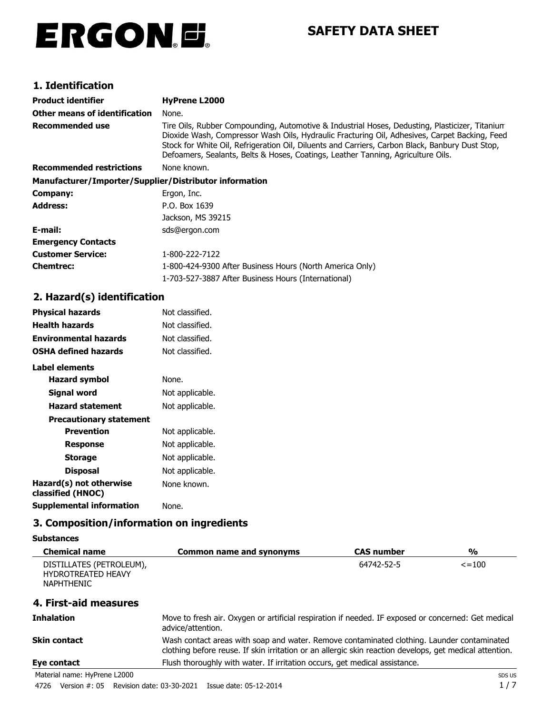# ERGON.E.

## **SAFETY DATA SHEET**

### **1. Identification**

| Product identifier                                     | HyPrene L2000                                                                                                                                                                                                                                                                                                                                                                          |
|--------------------------------------------------------|----------------------------------------------------------------------------------------------------------------------------------------------------------------------------------------------------------------------------------------------------------------------------------------------------------------------------------------------------------------------------------------|
| Other means of identification                          | None.                                                                                                                                                                                                                                                                                                                                                                                  |
| Recommended use                                        | Tire Oils, Rubber Compounding, Automotive & Industrial Hoses, Dedusting, Plasticizer, Titanium<br>Dioxide Wash, Compressor Wash Oils, Hydraulic Fracturing Oil, Adhesives, Carpet Backing, Feed<br>Stock for White Oil, Refrigeration Oil, Diluents and Carriers, Carbon Black, Banbury Dust Stop,<br>Defoamers, Sealants, Belts & Hoses, Coatings, Leather Tanning, Agriculture Oils. |
| <b>Recommended restrictions</b>                        | None known.                                                                                                                                                                                                                                                                                                                                                                            |
| Manufacturer/Importer/Supplier/Distributor information |                                                                                                                                                                                                                                                                                                                                                                                        |
| Company:                                               | Ergon, Inc.                                                                                                                                                                                                                                                                                                                                                                            |
| Address:                                               | P.O. Box 1639                                                                                                                                                                                                                                                                                                                                                                          |
|                                                        | Jackson, MS 39215                                                                                                                                                                                                                                                                                                                                                                      |
| E-mail:                                                | sds@ergon.com                                                                                                                                                                                                                                                                                                                                                                          |
| <b>Emergency Contacts</b>                              |                                                                                                                                                                                                                                                                                                                                                                                        |
| Customer Service:                                      | 1-800-222-7122                                                                                                                                                                                                                                                                                                                                                                         |
| Chemtrec:                                              | 1-800-424-9300 After Business Hours (North America Only)                                                                                                                                                                                                                                                                                                                               |
|                                                        | 1-703-527-3887 After Business Hours (International)                                                                                                                                                                                                                                                                                                                                    |

### **2. Hazard(s) identification**

| <b>Physical hazards</b>                      | Not classified. |
|----------------------------------------------|-----------------|
| <b>Health hazards</b>                        | Not classified. |
| <b>Environmental hazards</b>                 | Not classified. |
| <b>OSHA defined hazards</b>                  | Not classified. |
| Label elements                               |                 |
| Hazard symbol                                | None.           |
| Signal word                                  | Not applicable. |
| <b>Hazard statement</b>                      | Not applicable. |
| <b>Precautionary statement</b>               |                 |
| <b>Prevention</b>                            | Not applicable. |
| <b>Response</b>                              | Not applicable. |
| <b>Storage</b>                               | Not applicable. |
| <b>Disposal</b>                              | Not applicable. |
| Hazard(s) not otherwise<br>classified (HNOC) | None known.     |
| <b>Supplemental information</b>              | None.           |

#### **3. Composition/information on ingredients**

#### **Substances**

| <b>Chemical name</b>                                                       | <b>Common name and synonyms</b>                                                                                                                                                                       | <b>CAS number</b> | %           |
|----------------------------------------------------------------------------|-------------------------------------------------------------------------------------------------------------------------------------------------------------------------------------------------------|-------------------|-------------|
| DISTILLATES (PETROLEUM),<br><b>HYDROTREATED HEAVY</b><br><b>NAPHTHENIC</b> |                                                                                                                                                                                                       | 64742-52-5        | $\le$ = 100 |
| 4. First-aid measures                                                      |                                                                                                                                                                                                       |                   |             |
| <b>Inhalation</b>                                                          | Move to fresh air. Oxygen or artificial respiration if needed. IF exposed or concerned: Get medical<br>advice/attention.                                                                              |                   |             |
| <b>Skin contact</b>                                                        | Wash contact areas with soap and water. Remove contaminated clothing. Launder contaminated<br>clothing before reuse. If skin irritation or an allergic skin reaction develops, get medical attention. |                   |             |
| Eye contact                                                                | Flush thoroughly with water. If irritation occurs, get medical assistance.                                                                                                                            |                   |             |

Material name: HyPrene L2000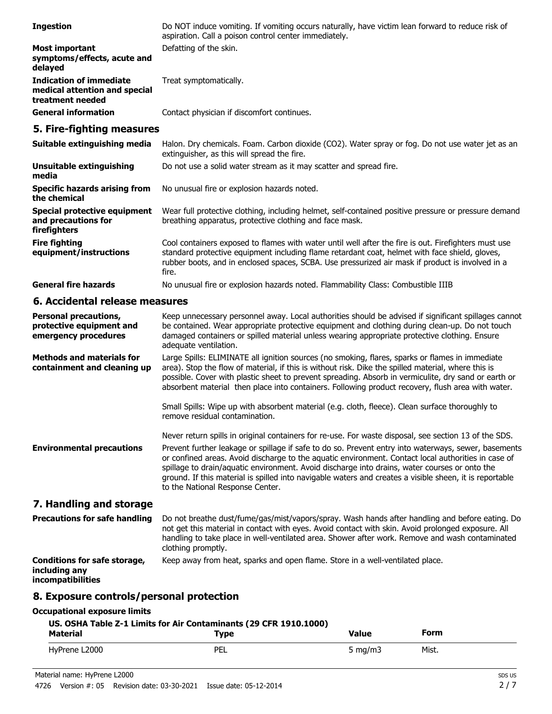| <b>Ingestion</b>                                                                    | Do NOT induce vomiting. If vomiting occurs naturally, have victim lean forward to reduce risk of<br>aspiration. Call a poison control center immediately.                                                                                                                                                                                                                                                                                                   |
|-------------------------------------------------------------------------------------|-------------------------------------------------------------------------------------------------------------------------------------------------------------------------------------------------------------------------------------------------------------------------------------------------------------------------------------------------------------------------------------------------------------------------------------------------------------|
| <b>Most important</b><br>symptoms/effects, acute and<br>delayed                     | Defatting of the skin.                                                                                                                                                                                                                                                                                                                                                                                                                                      |
| <b>Indication of immediate</b><br>medical attention and special<br>treatment needed | Treat symptomatically.                                                                                                                                                                                                                                                                                                                                                                                                                                      |
| <b>General information</b>                                                          | Contact physician if discomfort continues.                                                                                                                                                                                                                                                                                                                                                                                                                  |
| 5. Fire-fighting measures                                                           |                                                                                                                                                                                                                                                                                                                                                                                                                                                             |
| Suitable extinguishing media                                                        | Halon. Dry chemicals. Foam. Carbon dioxide (CO2). Water spray or fog. Do not use water jet as an<br>extinguisher, as this will spread the fire.                                                                                                                                                                                                                                                                                                             |
| <b>Unsuitable extinguishing</b><br>media                                            | Do not use a solid water stream as it may scatter and spread fire.                                                                                                                                                                                                                                                                                                                                                                                          |
| <b>Specific hazards arising from</b><br>the chemical                                | No unusual fire or explosion hazards noted.                                                                                                                                                                                                                                                                                                                                                                                                                 |
| <b>Special protective equipment</b><br>and precautions for<br>firefighters          | Wear full protective clothing, including helmet, self-contained positive pressure or pressure demand<br>breathing apparatus, protective clothing and face mask.                                                                                                                                                                                                                                                                                             |
| <b>Fire fighting</b><br>equipment/instructions                                      | Cool containers exposed to flames with water until well after the fire is out. Firefighters must use<br>standard protective equipment including flame retardant coat, helmet with face shield, gloves,<br>rubber boots, and in enclosed spaces, SCBA. Use pressurized air mask if product is involved in a<br>fire.                                                                                                                                         |
| <b>General fire hazards</b>                                                         | No unusual fire or explosion hazards noted. Flammability Class: Combustible IIIB                                                                                                                                                                                                                                                                                                                                                                            |
| 6. Accidental release measures                                                      |                                                                                                                                                                                                                                                                                                                                                                                                                                                             |
| <b>Personal precautions,</b><br>protective equipment and<br>emergency procedures    | Keep unnecessary personnel away. Local authorities should be advised if significant spillages cannot<br>be contained. Wear appropriate protective equipment and clothing during clean-up. Do not touch<br>damaged containers or spilled material unless wearing appropriate protective clothing. Ensure<br>adequate ventilation.                                                                                                                            |
| <b>Methods and materials for</b><br>containment and cleaning up                     | Large Spills: ELIMINATE all ignition sources (no smoking, flares, sparks or flames in immediate<br>area). Stop the flow of material, if this is without risk. Dike the spilled material, where this is<br>possible. Cover with plastic sheet to prevent spreading. Absorb in vermiculite, dry sand or earth or<br>absorbent material then place into containers. Following product recovery, flush area with water.                                         |
|                                                                                     | Small Spills: Wipe up with absorbent material (e.g. cloth, fleece). Clean surface thoroughly to<br>remove residual contamination.                                                                                                                                                                                                                                                                                                                           |
|                                                                                     | Never return spills in original containers for re-use. For waste disposal, see section 13 of the SDS.                                                                                                                                                                                                                                                                                                                                                       |
| <b>Environmental precautions</b>                                                    | Prevent further leakage or spillage if safe to do so. Prevent entry into waterways, sewer, basements<br>or confined areas. Avoid discharge to the aquatic environment. Contact local authorities in case of<br>spillage to drain/aquatic environment. Avoid discharge into drains, water courses or onto the<br>ground. If this material is spilled into navigable waters and creates a visible sheen, it is reportable<br>to the National Response Center. |
| 7. Handling and storage                                                             |                                                                                                                                                                                                                                                                                                                                                                                                                                                             |
| <b>Precautions for safe handling</b>                                                | Do not breathe dust/fume/gas/mist/vapors/spray. Wash hands after handling and before eating. Do<br>not get this material in contact with eyes. Avoid contact with skin. Avoid prolonged exposure. All<br>handling to take place in well-ventilated area. Shower after work. Remove and wash contaminated<br>clothing promptly.                                                                                                                              |
| <b>Conditions for safe storage,</b><br>including any<br>incompatibilities           | Keep away from heat, sparks and open flame. Store in a well-ventilated place.                                                                                                                                                                                                                                                                                                                                                                               |
| 8. Exposure controls/personal protection                                            |                                                                                                                                                                                                                                                                                                                                                                                                                                                             |

#### **Occupational exposure limits**

| US. OSHA Table Z-1 Limits for Air Contaminants (29 CFR 1910.1000) |      |            |       |
|-------------------------------------------------------------------|------|------------|-------|
| <b>Material</b>                                                   | Type | Value      | Form  |
| HyPrene L2000                                                     | PEL  | 5 mg/m $3$ | Mist. |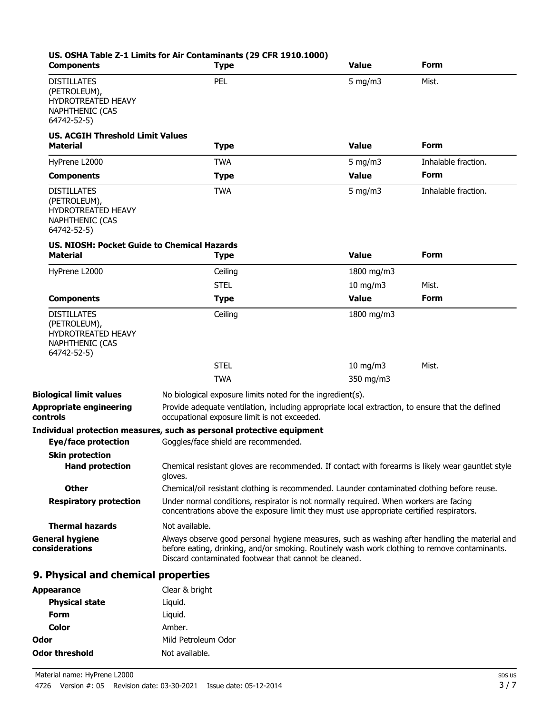| <b>Components</b>                                                                                 | US. OSHA Table Z-1 Limits for Air Contaminants (29 CFR 1910.1000)<br><b>Type</b>                                                                                                                                                                         | <b>Value</b>                | Form                |
|---------------------------------------------------------------------------------------------------|----------------------------------------------------------------------------------------------------------------------------------------------------------------------------------------------------------------------------------------------------------|-----------------------------|---------------------|
| <b>DISTILLATES</b><br>(PETROLEUM),<br>HYDROTREATED HEAVY<br><b>NAPHTHENIC (CAS</b><br>64742-52-5) | PEL                                                                                                                                                                                                                                                      | $5$ mg/m $3$                | Mist.               |
| <b>US. ACGIH Threshold Limit Values</b><br><b>Material</b>                                        | <b>Type</b>                                                                                                                                                                                                                                              | <b>Value</b>                | Form                |
| HyPrene L2000                                                                                     | <b>TWA</b>                                                                                                                                                                                                                                               | 5 mg/m $3$                  | Inhalable fraction. |
| <b>Components</b>                                                                                 | <b>Type</b>                                                                                                                                                                                                                                              | <b>Value</b>                | <b>Form</b>         |
| <b>DISTILLATES</b><br>(PETROLEUM),<br>HYDROTREATED HEAVY<br><b>NAPHTHENIC (CAS</b><br>64742-52-5) | <b>TWA</b>                                                                                                                                                                                                                                               | 5 mg/m $3$                  | Inhalable fraction. |
| <b>US. NIOSH: Pocket Guide to Chemical Hazards</b><br><b>Material</b>                             | <b>Type</b>                                                                                                                                                                                                                                              | Value                       | <b>Form</b>         |
| HyPrene L2000                                                                                     | Ceiling                                                                                                                                                                                                                                                  | 1800 mg/m3                  |                     |
|                                                                                                   | <b>STEL</b>                                                                                                                                                                                                                                              | 10 mg/m3                    | Mist.               |
| <b>Components</b>                                                                                 | <b>Type</b>                                                                                                                                                                                                                                              | <b>Value</b>                | <b>Form</b>         |
| <b>DISTILLATES</b><br>(PETROLEUM),<br>HYDROTREATED HEAVY<br><b>NAPHTHENIC (CAS</b><br>64742-52-5) | Ceiling<br><b>STEL</b>                                                                                                                                                                                                                                   | 1800 mg/m3<br>$10$ mg/m $3$ | Mist.               |
|                                                                                                   | <b>TWA</b>                                                                                                                                                                                                                                               | 350 mg/m3                   |                     |
| <b>Biological limit values</b>                                                                    | No biological exposure limits noted for the ingredient(s).                                                                                                                                                                                               |                             |                     |
| <b>Appropriate engineering</b><br>controls                                                        | Provide adequate ventilation, including appropriate local extraction, to ensure that the defined<br>occupational exposure limit is not exceeded.                                                                                                         |                             |                     |
|                                                                                                   | Individual protection measures, such as personal protective equipment                                                                                                                                                                                    |                             |                     |
| <b>Eye/face protection</b>                                                                        | Goggles/face shield are recommended.                                                                                                                                                                                                                     |                             |                     |
| <b>Skin protection</b><br><b>Hand protection</b>                                                  | Chemical resistant gloves are recommended. If contact with forearms is likely wear gauntlet style<br>gloves.                                                                                                                                             |                             |                     |
| <b>Other</b>                                                                                      | Chemical/oil resistant clothing is recommended. Launder contaminated clothing before reuse.                                                                                                                                                              |                             |                     |
| <b>Respiratory protection</b>                                                                     | Under normal conditions, respirator is not normally required. When workers are facing<br>concentrations above the exposure limit they must use appropriate certified respirators.                                                                        |                             |                     |
| <b>Thermal hazards</b>                                                                            | Not available.                                                                                                                                                                                                                                           |                             |                     |
| <b>General hygiene</b><br>considerations                                                          | Always observe good personal hygiene measures, such as washing after handling the material and<br>before eating, drinking, and/or smoking. Routinely wash work clothing to remove contaminants.<br>Discard contaminated footwear that cannot be cleaned. |                             |                     |
| 9. Physical and chemical properties                                                               |                                                                                                                                                                                                                                                          |                             |                     |
| <b>Appearance</b>                                                                                 | Clear & bright                                                                                                                                                                                                                                           |                             |                     |
| <b>Physical state</b>                                                                             | Liquid.                                                                                                                                                                                                                                                  |                             |                     |
| <b>Form</b>                                                                                       | Liquid.                                                                                                                                                                                                                                                  |                             |                     |

| Odor |                                  | Mild Petroleum Odor                     |                        |
|------|----------------------------------|-----------------------------------------|------------------------|
|      | Odor threshold<br>Not available. |                                         |                        |
|      | Material name: HyPrene L2000     |                                         |                        |
| 4726 |                                  | Version #: 05 Revision date: 03-30-2021 | Issue date: 05-12-2014 |

**Color** Amber.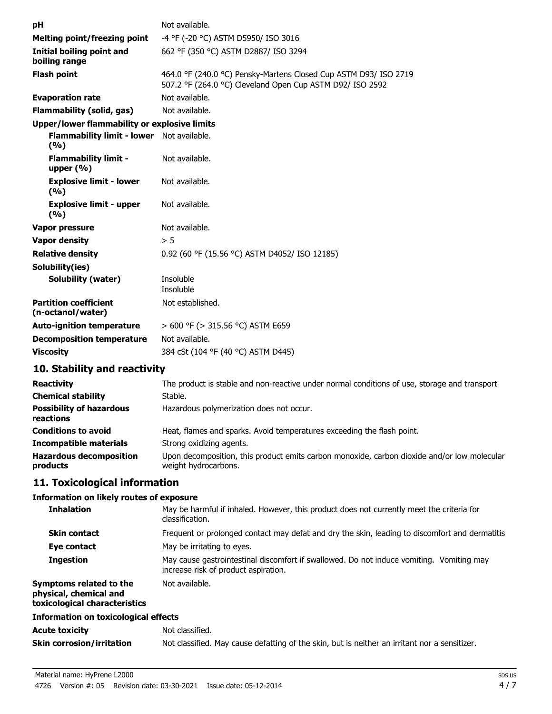| рH                                                  | Not available.                                                                                                                |
|-----------------------------------------------------|-------------------------------------------------------------------------------------------------------------------------------|
| <b>Melting point/freezing point</b>                 | -4 °F (-20 °C) ASTM D5950/ ISO 3016                                                                                           |
| Initial boiling point and                           | 662 °F (350 °C) ASTM D2887/ ISO 3294                                                                                          |
| boiling range                                       |                                                                                                                               |
| <b>Flash point</b>                                  | 464.0 °F (240.0 °C) Pensky-Martens Closed Cup ASTM D93/ ISO 2719<br>507.2 °F (264.0 °C) Cleveland Open Cup ASTM D92/ ISO 2592 |
| <b>Evaporation rate</b>                             | Not available.                                                                                                                |
| <b>Flammability (solid, gas)</b>                    | Not available.                                                                                                                |
| <b>Upper/lower flammability or explosive limits</b> |                                                                                                                               |
| Flammability limit - lower Not available.<br>(9/6)  |                                                                                                                               |
| <b>Flammability limit -</b><br>upper $(% )$         | Not available.                                                                                                                |
| <b>Explosive limit - lower</b><br>(%)               | Not available.                                                                                                                |
| <b>Explosive limit - upper</b><br>(9/6)             | Not available.                                                                                                                |
| Vapor pressure                                      | Not available.                                                                                                                |
| <b>Vapor density</b>                                | > 5                                                                                                                           |
| <b>Relative density</b>                             | 0.92 (60 °F (15.56 °C) ASTM D4052/ ISO 12185)                                                                                 |
| Solubility(ies)                                     |                                                                                                                               |
| <b>Solubility (water)</b>                           | Insoluble                                                                                                                     |
|                                                     | Insoluble                                                                                                                     |
| <b>Partition coefficient</b><br>(n-octanol/water)   | Not established.                                                                                                              |
| <b>Auto-ignition temperature</b>                    | > 600 °F (> 315.56 °C) ASTM E659                                                                                              |
| <b>Decomposition temperature</b>                    | Not available.                                                                                                                |
| <b>Viscosity</b>                                    | 384 cSt (104 °F (40 °C) ASTM D445)                                                                                            |
| 10. Stability and reactivity                        |                                                                                                                               |

#### **Reactivity** The product is stable and non-reactive under normal conditions of use, storage and transport. **Chemical stability** Stable. **Possibility of hazardous** Hazardous polymerization does not occur. **reactions Conditions to avoid Heat, flames and sparks. Avoid temperatures exceeding the flash point. Incompatible materials** Strong oxidizing agents. Upon decomposition, this product emits carbon monoxide, carbon dioxide and/or low molecular weight hydrocarbons. **Hazardous decomposition products**

#### **11. Toxicological information**

#### **Information on likely routes of exposure**

| <b>Inhalation</b>                                                                  | May be harmful if inhaled. However, this product does not currently meet the criteria for<br>classification.                     |
|------------------------------------------------------------------------------------|----------------------------------------------------------------------------------------------------------------------------------|
| <b>Skin contact</b>                                                                | Frequent or prolonged contact may defat and dry the skin, leading to discomfort and dermatitis                                   |
| Eve contact                                                                        | May be irritating to eyes.                                                                                                       |
| <b>Ingestion</b>                                                                   | May cause gastrointestinal discomfort if swallowed. Do not induce vomiting. Vomiting may<br>increase risk of product aspiration. |
| Symptoms related to the<br>physical, chemical and<br>toxicological characteristics | Not available.                                                                                                                   |
| Information on toxicological effects                                               |                                                                                                                                  |
| Acute toxicity                                                                     | Not classified.                                                                                                                  |
| Skin corrosion/irritation                                                          | Not classified. May cause defatting of the skin, but is neither an irritant nor a sensitizer.                                    |
|                                                                                    |                                                                                                                                  |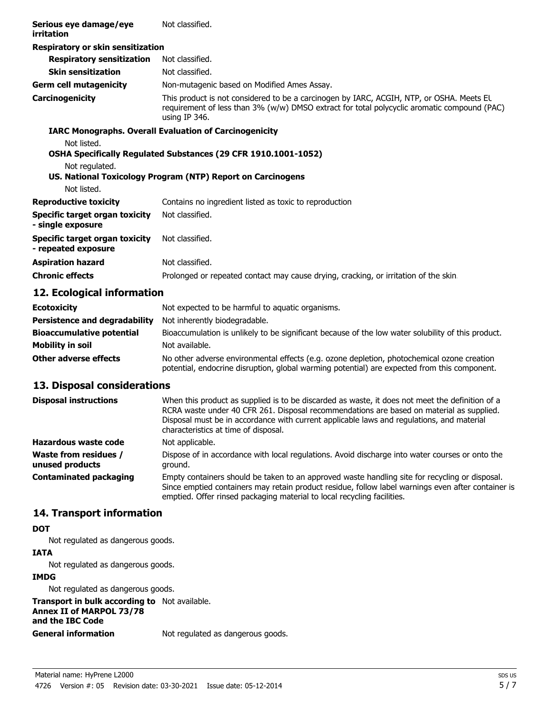| Serious eye damage/eye<br>irritation                  | Not classified.                                                                                                                                                                                          |
|-------------------------------------------------------|----------------------------------------------------------------------------------------------------------------------------------------------------------------------------------------------------------|
| Respiratory or skin sensitization                     |                                                                                                                                                                                                          |
| <b>Respiratory sensitization</b>                      | Not classified.                                                                                                                                                                                          |
| <b>Skin sensitization</b>                             | Not classified.                                                                                                                                                                                          |
| <b>Germ cell mutagenicity</b>                         | Non-mutagenic based on Modified Ames Assay.                                                                                                                                                              |
| Carcinogenicity                                       | This product is not considered to be a carcinogen by IARC, ACGIH, NTP, or OSHA. Meets EL<br>requirement of less than 3% (w/w) DMSO extract for total polycyclic aromatic compound (PAC)<br>using IP 346. |
|                                                       | <b>IARC Monographs. Overall Evaluation of Carcinogenicity</b>                                                                                                                                            |
| Not listed.                                           | OSHA Specifically Regulated Substances (29 CFR 1910.1001-1052)                                                                                                                                           |
| Not regulated.                                        | US. National Toxicology Program (NTP) Report on Carcinogens                                                                                                                                              |
| Not listed.                                           |                                                                                                                                                                                                          |
| <b>Reproductive toxicity</b>                          | Contains no ingredient listed as toxic to reproduction                                                                                                                                                   |
| Specific target organ toxicity<br>- single exposure   | Not classified.                                                                                                                                                                                          |
| Specific target organ toxicity<br>- repeated exposure | Not classified.                                                                                                                                                                                          |
| <b>Aspiration hazard</b>                              | Not classified.                                                                                                                                                                                          |
| <b>Chronic effects</b>                                | Prolonged or repeated contact may cause drying, cracking, or irritation of the skin                                                                                                                      |

#### **12. Ecological information**

| <b>Ecotoxicity</b>                   | Not expected to be harmful to aquatic organisms.                                                                                                                                           |
|--------------------------------------|--------------------------------------------------------------------------------------------------------------------------------------------------------------------------------------------|
| <b>Persistence and degradability</b> | Not inherently biodegradable.                                                                                                                                                              |
| <b>Bioaccumulative potential</b>     | Bioaccumulation is unlikely to be significant because of the low water solubility of this product.                                                                                         |
| <b>Mobility in soil</b>              | Not available.                                                                                                                                                                             |
| <b>Other adverse effects</b>         | No other adverse environmental effects (e.g. ozone depletion, photochemical ozone creation<br>potential, endocrine disruption, global warming potential) are expected from this component. |

#### **13. Disposal considerations**

| <b>Disposal instructions</b>                    | When this product as supplied is to be discarded as waste, it does not meet the definition of a<br>RCRA waste under 40 CFR 261. Disposal recommendations are based on material as supplied.<br>Disposal must be in accordance with current applicable laws and regulations, and material<br>characteristics at time of disposal. |
|-------------------------------------------------|----------------------------------------------------------------------------------------------------------------------------------------------------------------------------------------------------------------------------------------------------------------------------------------------------------------------------------|
| Hazardous waste code                            | Not applicable.                                                                                                                                                                                                                                                                                                                  |
| <b>Waste from residues /</b><br>unused products | Dispose of in accordance with local regulations. Avoid discharge into water courses or onto the<br>ground.                                                                                                                                                                                                                       |
| <b>Contaminated packaging</b>                   | Empty containers should be taken to an approved waste handling site for recycling or disposal.<br>Since emptied containers may retain product residue, follow label warnings even after container is<br>emptied. Offer rinsed packaging material to local recycling facilities.                                                  |

#### **14. Transport information**

#### **DOT**

Not regulated as dangerous goods.

#### **IATA**

Not regulated as dangerous goods.

#### **IMDG**

Not regulated as dangerous goods.

**Transport in bulk according to** Not available. **Annex II of MARPOL 73/78 and the IBC Code**

**General information** Not regulated as dangerous goods.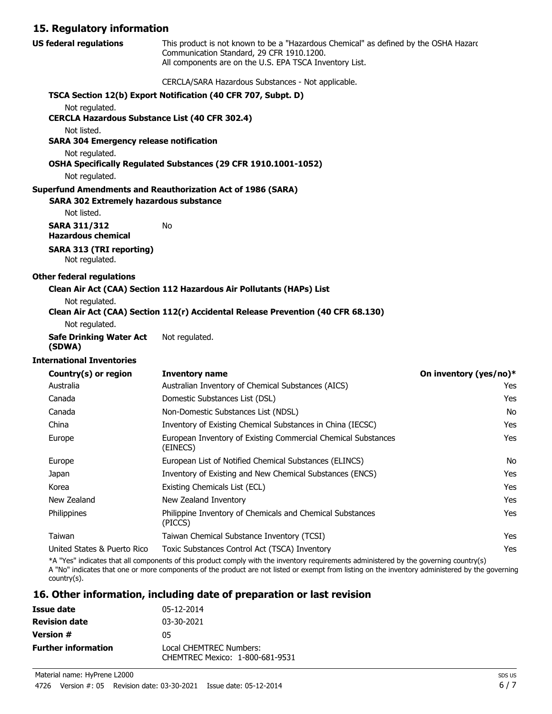#### **15. Regulatory information**

| <b>US federal regulations</b>                                           | This product is not known to be a "Hazardous Chemical" as defined by the OSHA Hazarc<br>Communication Standard, 29 CFR 1910.1200.<br>All components are on the U.S. EPA TSCA Inventory List. |                        |
|-------------------------------------------------------------------------|----------------------------------------------------------------------------------------------------------------------------------------------------------------------------------------------|------------------------|
|                                                                         | CERCLA/SARA Hazardous Substances - Not applicable.                                                                                                                                           |                        |
|                                                                         | TSCA Section 12(b) Export Notification (40 CFR 707, Subpt. D)                                                                                                                                |                        |
| Not regulated.<br><b>CERCLA Hazardous Substance List (40 CFR 302.4)</b> |                                                                                                                                                                                              |                        |
| Not listed.<br><b>SARA 304 Emergency release notification</b>           |                                                                                                                                                                                              |                        |
| Not regulated.                                                          | OSHA Specifically Regulated Substances (29 CFR 1910.1001-1052)                                                                                                                               |                        |
| Not regulated.                                                          |                                                                                                                                                                                              |                        |
| <b>SARA 302 Extremely hazardous substance</b><br>Not listed.            | <b>Superfund Amendments and Reauthorization Act of 1986 (SARA)</b>                                                                                                                           |                        |
| <b>SARA 311/312</b><br><b>Hazardous chemical</b>                        | No                                                                                                                                                                                           |                        |
| <b>SARA 313 (TRI reporting)</b><br>Not regulated.                       |                                                                                                                                                                                              |                        |
| <b>Other federal regulations</b>                                        |                                                                                                                                                                                              |                        |
|                                                                         | Clean Air Act (CAA) Section 112 Hazardous Air Pollutants (HAPs) List                                                                                                                         |                        |
| Not regulated.                                                          | Clean Air Act (CAA) Section 112(r) Accidental Release Prevention (40 CFR 68.130)                                                                                                             |                        |
| Not regulated.                                                          |                                                                                                                                                                                              |                        |
| <b>Safe Drinking Water Act</b><br>(SDWA)                                | Not regulated.                                                                                                                                                                               |                        |
| <b>International Inventories</b>                                        |                                                                                                                                                                                              |                        |
| Country(s) or region                                                    | <b>Inventory name</b>                                                                                                                                                                        | On inventory (yes/no)* |
| Australia                                                               | Australian Inventory of Chemical Substances (AICS)                                                                                                                                           | Yes                    |
| Canada                                                                  | Domestic Substances List (DSL)                                                                                                                                                               | Yes                    |
| Canada                                                                  | Non-Domestic Substances List (NDSL)                                                                                                                                                          | No                     |
| China                                                                   | Inventory of Existing Chemical Substances in China (IECSC)                                                                                                                                   | Yes                    |
| Europe                                                                  | European Inventory of Existing Commercial Chemical Substances<br>(EINECS)                                                                                                                    | Yes                    |
| Europe                                                                  | European List of Notified Chemical Substances (ELINCS)                                                                                                                                       | No                     |
| Japan                                                                   | Inventory of Existing and New Chemical Substances (ENCS)                                                                                                                                     | Yes                    |
| Korea                                                                   | Existing Chemicals List (ECL)                                                                                                                                                                | Yes                    |
| New Zealand                                                             | New Zealand Inventory                                                                                                                                                                        | Yes                    |
| Philippines                                                             | Philippine Inventory of Chemicals and Chemical Substances<br>(PICCS)                                                                                                                         | Yes                    |
| Taiwan                                                                  | Taiwan Chemical Substance Inventory (TCSI)                                                                                                                                                   | Yes                    |
| United States & Puerto Rico                                             | Toxic Substances Control Act (TSCA) Inventory                                                                                                                                                | Yes                    |

\*A "Yes" indicates that all components of this product comply with the inventory requirements administered by the governing country(s)

A "No" indicates that one or more components of the product are not listed or exempt from listing on the inventory administered by the governing country(s).

#### **16. Other information, including date of preparation or last revision**

| Issue date                 | 05-12-2014                                                 |
|----------------------------|------------------------------------------------------------|
| <b>Revision date</b>       | 03-30-2021                                                 |
| <b>Version #</b>           | 05                                                         |
| <b>Further information</b> | Local CHEMTREC Numbers:<br>CHEMTREC Mexico: 1-800-681-9531 |